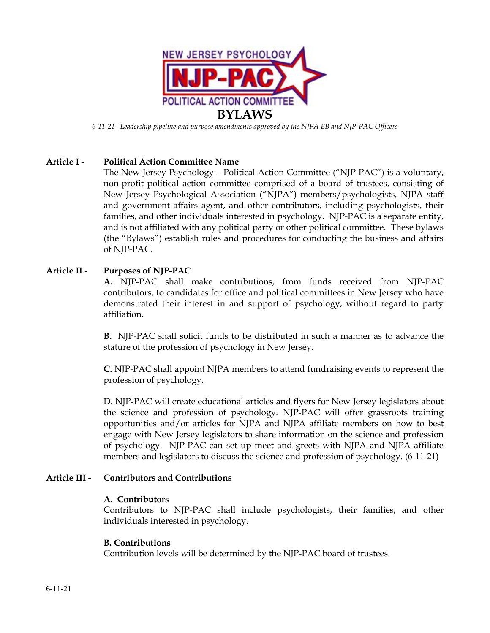

*6-11-21– Leadership pipeline and purpose amendments approved by the NJPA EB and NJP-PAC Officers* 

## **Article I - Political Action Committee Name**

The New Jersey Psychology – Political Action Committee ("NJP-PAC") is a voluntary, non-profit political action committee comprised of a board of trustees, consisting of New Jersey Psychological Association ("NJPA") members/psychologists, NJPA staff and government affairs agent, and other contributors, including psychologists, their families, and other individuals interested in psychology. NJP-PAC is a separate entity, and is not affiliated with any political party or other political committee. These bylaws (the "Bylaws") establish rules and procedures for conducting the business and affairs of NJP-PAC.

## **Article II - Purposes of NJP-PAC**

**A.** NJP-PAC shall make contributions, from funds received from NJP-PAC contributors, to candidates for office and political committees in New Jersey who have demonstrated their interest in and support of psychology, without regard to party affiliation.

**B.** NJP-PAC shall solicit funds to be distributed in such a manner as to advance the stature of the profession of psychology in New Jersey.

**C.** NJP-PAC shall appoint NJPA members to attend fundraising events to represent the profession of psychology.

D. NJP-PAC will create educational articles and flyers for New Jersey legislators about the science and profession of psychology. NJP-PAC will offer grassroots training opportunities and/or articles for NJPA and NJPA affiliate members on how to best engage with New Jersey legislators to share information on the science and profession of psychology. NJP-PAC can set up meet and greets with NJPA and NJPA affiliate members and legislators to discuss the science and profession of psychology. (6-11-21)

#### **Article III - Contributors and Contributions**

#### **A. Contributors**

Contributors to NJP-PAC shall include psychologists, their families, and other individuals interested in psychology.

#### **B. Contributions**

Contribution levels will be determined by the NJP-PAC board of trustees.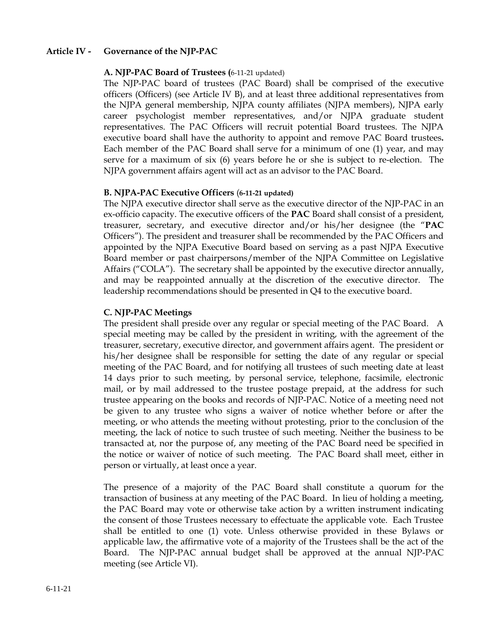### **Article IV - Governance of the NJP-PAC**

#### **A. NJP-PAC Board of Trustees (**6-11-21 updated)

The NJP-PAC board of trustees (PAC Board) shall be comprised of the executive officers (Officers) (see Article IV B), and at least three additional representatives from the NJPA general membership, NJPA county affiliates (NJPA members), NJPA early career psychologist member representatives, and/or NJPA graduate student representatives. The PAC Officers will recruit potential Board trustees. The NJPA executive board shall have the authority to appoint and remove PAC Board trustees**.**  Each member of the PAC Board shall serve for a minimum of one (1) year, and may serve for a maximum of six (6) years before he or she is subject to re-election. The NJPA government affairs agent will act as an advisor to the PAC Board.

#### **B. NJPA-PAC Executive Officers** (**6-11-21 updated)**

The NJPA executive director shall serve as the executive director of the NJP-PAC in an ex-officio capacity. The executive officers of the **PAC** Board shall consist of a president, treasurer, secretary, and executive director and/or his/her designee (the "**PAC** Officers"). The president and treasurer shall be recommended by the PAC Officers and appointed by the NJPA Executive Board based on serving as a past NJPA Executive Board member or past chairpersons/member of the NJPA Committee on Legislative Affairs ("COLA"). The secretary shall be appointed by the executive director annually, and may be reappointed annually at the discretion of the executive director. The leadership recommendations should be presented in Q4 to the executive board.

### **C. NJP-PAC Meetings**

The president shall preside over any regular or special meeting of the PAC Board. A special meeting may be called by the president in writing, with the agreement of the treasurer, secretary, executive director, and government affairs agent. The president or his/her designee shall be responsible for setting the date of any regular or special meeting of the PAC Board, and for notifying all trustees of such meeting date at least 14 days prior to such meeting, by personal service, telephone, facsimile, electronic mail, or by mail addressed to the trustee postage prepaid, at the address for such trustee appearing on the books and records of NJP-PAC. Notice of a meeting need not be given to any trustee who signs a waiver of notice whether before or after the meeting, or who attends the meeting without protesting, prior to the conclusion of the meeting, the lack of notice to such trustee of such meeting. Neither the business to be transacted at, nor the purpose of, any meeting of the PAC Board need be specified in the notice or waiver of notice of such meeting. The PAC Board shall meet, either in person or virtually, at least once a year.

The presence of a majority of the PAC Board shall constitute a quorum for the transaction of business at any meeting of the PAC Board. In lieu of holding a meeting, the PAC Board may vote or otherwise take action by a written instrument indicating the consent of those Trustees necessary to effectuate the applicable vote. Each Trustee shall be entitled to one (1) vote. Unless otherwise provided in these Bylaws or applicable law, the affirmative vote of a majority of the Trustees shall be the act of the Board. The NJP-PAC annual budget shall be approved at the annual NJP-PAC meeting (see Article VI).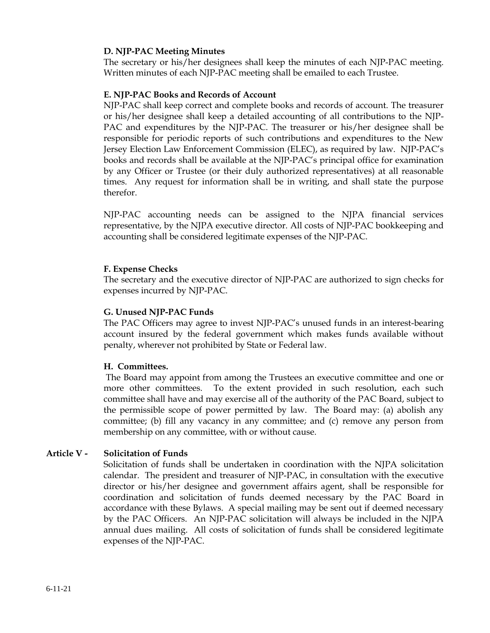## **D. NJP-PAC Meeting Minutes**

The secretary or his/her designees shall keep the minutes of each NJP-PAC meeting. Written minutes of each NJP-PAC meeting shall be emailed to each Trustee.

## **E. NJP-PAC Books and Records of Account**

NJP-PAC shall keep correct and complete books and records of account. The treasurer or his/her designee shall keep a detailed accounting of all contributions to the NJP-PAC and expenditures by the NJP-PAC. The treasurer or his/her designee shall be responsible for periodic reports of such contributions and expenditures to the New Jersey Election Law Enforcement Commission (ELEC), as required by law. NJP-PAC's books and records shall be available at the NJP-PAC's principal office for examination by any Officer or Trustee (or their duly authorized representatives) at all reasonable times. Any request for information shall be in writing, and shall state the purpose therefor.

NJP-PAC accounting needs can be assigned to the NJPA financial services representative, by the NJPA executive director. All costs of NJP-PAC bookkeeping and accounting shall be considered legitimate expenses of the NJP-PAC.

## **F. Expense Checks**

The secretary and the executive director of NJP-PAC are authorized to sign checks for expenses incurred by NJP-PAC.

## **G. Unused NJP-PAC Funds**

The PAC Officers may agree to invest NJP-PAC's unused funds in an interest-bearing account insured by the federal government which makes funds available without penalty, wherever not prohibited by State or Federal law.

#### **H. Committees.**

The Board may appoint from among the Trustees an executive committee and one or more other committees. To the extent provided in such resolution, each such committee shall have and may exercise all of the authority of the PAC Board, subject to the permissible scope of power permitted by law. The Board may: (a) abolish any committee; (b) fill any vacancy in any committee; and (c) remove any person from membership on any committee, with or without cause.

# **Article V - Solicitation of Funds**

Solicitation of funds shall be undertaken in coordination with the NJPA solicitation calendar. The president and treasurer of NJP-PAC, in consultation with the executive director or his/her designee and government affairs agent, shall be responsible for coordination and solicitation of funds deemed necessary by the PAC Board in accordance with these Bylaws. A special mailing may be sent out if deemed necessary by the PAC Officers. An NJP-PAC solicitation will always be included in the NJPA annual dues mailing. All costs of solicitation of funds shall be considered legitimate expenses of the NJP-PAC.